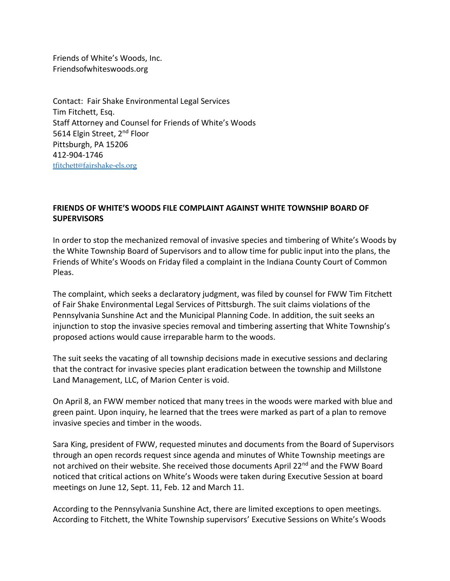Friends of White's Woods, Inc. Friendsofwhiteswoods.org

Contact: Fair Shake Environmental Legal Services Tim Fitchett, Esq. Staff Attorney and Counsel for Friends of White's Woods 5614 Elgin Street, 2<sup>nd</sup> Floor Pittsburgh, PA 15206 412-904-1746 [tfitchett@fairshake-els.org](mailto:tfitchett@fairshake-els.org)

## **FRIENDS OF WHITE'S WOODS FILE COMPLAINT AGAINST WHITE TOWNSHIP BOARD OF SUPERVISORS**

In order to stop the mechanized removal of invasive species and timbering of White's Woods by the White Township Board of Supervisors and to allow time for public input into the plans, the Friends of White's Woods on Friday filed a complaint in the Indiana County Court of Common Pleas.

The complaint, which seeks a declaratory judgment, was filed by counsel for FWW Tim Fitchett of Fair Shake Environmental Legal Services of Pittsburgh. The suit claims violations of the Pennsylvania Sunshine Act and the Municipal Planning Code. In addition, the suit seeks an injunction to stop the invasive species removal and timbering asserting that White Township's proposed actions would cause irreparable harm to the woods.

The suit seeks the vacating of all township decisions made in executive sessions and declaring that the contract for invasive species plant eradication between the township and Millstone Land Management, LLC, of Marion Center is void.

On April 8, an FWW member noticed that many trees in the woods were marked with blue and green paint. Upon inquiry, he learned that the trees were marked as part of a plan to remove invasive species and timber in the woods.

Sara King, president of FWW, requested minutes and documents from the Board of Supervisors through an open records request since agenda and minutes of White Township meetings are not archived on their website. She received those documents April 22<sup>nd</sup> and the FWW Board noticed that critical actions on White's Woods were taken during Executive Session at board meetings on June 12, Sept. 11, Feb. 12 and March 11.

According to the Pennsylvania Sunshine Act, there are limited exceptions to open meetings. According to Fitchett, the White Township supervisors' Executive Sessions on White's Woods